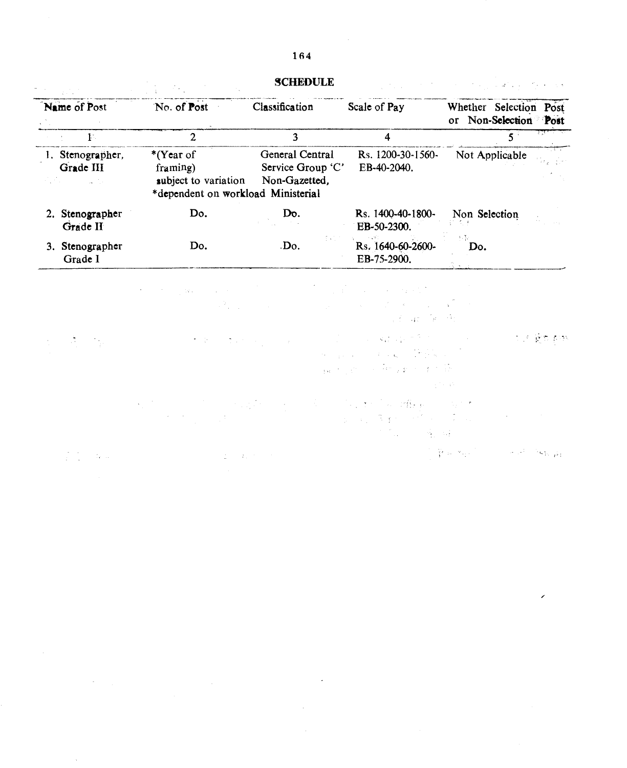|                                              |                                                                                     | <b>SCHEDULE</b>                                       |                                                                                                                                                                                                                                                                                                                                                                                                                                                                                                                                                                                                                                                                                                                                                                                                                                                                                                                                                                             | $\mathcal{F}_{\mathcal{G}}(x)$ and $\mathcal{F}_{\mathcal{G}}(x)$ are the set of the set of the set of $\mathcal{G}_{\mathcal{G}}(x)$ |
|----------------------------------------------|-------------------------------------------------------------------------------------|-------------------------------------------------------|-----------------------------------------------------------------------------------------------------------------------------------------------------------------------------------------------------------------------------------------------------------------------------------------------------------------------------------------------------------------------------------------------------------------------------------------------------------------------------------------------------------------------------------------------------------------------------------------------------------------------------------------------------------------------------------------------------------------------------------------------------------------------------------------------------------------------------------------------------------------------------------------------------------------------------------------------------------------------------|---------------------------------------------------------------------------------------------------------------------------------------|
| Name of Post                                 | No. of Post                                                                         | Classification                                        | Scale of Pay                                                                                                                                                                                                                                                                                                                                                                                                                                                                                                                                                                                                                                                                                                                                                                                                                                                                                                                                                                | Whether Selection Post<br>or Non-Selection Post                                                                                       |
| $1$                                          | $\overline{2}$                                                                      | 3                                                     | 4                                                                                                                                                                                                                                                                                                                                                                                                                                                                                                                                                                                                                                                                                                                                                                                                                                                                                                                                                                           | $5^{\circ}$                                                                                                                           |
| 1. Stenographer,<br>Grade III<br>and a state | *(Year of<br>framing)<br>subject to variation<br>*dependent on workload Ministerial | General Central<br>Service Group 'C'<br>Non-Gazetted, | Rs. 1200-30-1560-<br>EB-40-2040.                                                                                                                                                                                                                                                                                                                                                                                                                                                                                                                                                                                                                                                                                                                                                                                                                                                                                                                                            | Not Applicable                                                                                                                        |
| 2. Stenographer<br>Grade II                  | Do.                                                                                 | Do.                                                   | Rs. 1400-40-1800-<br>EB-50-2300.                                                                                                                                                                                                                                                                                                                                                                                                                                                                                                                                                                                                                                                                                                                                                                                                                                                                                                                                            | Non Selection                                                                                                                         |
| 3. Stenographer<br>Grade I                   | Do.                                                                                 | $\cdot$ Do.                                           | Rs. 1640-60-2600-<br>EB-75-2900.                                                                                                                                                                                                                                                                                                                                                                                                                                                                                                                                                                                                                                                                                                                                                                                                                                                                                                                                            | Do.                                                                                                                                   |
|                                              | the control of the stage of the con-<br>$\sim 2\, \mu_{\rm Edd}$                    |                                                       | in a shekara ta 1999 a ƙafa ta ƙasar Ingila.<br>'Yan wasan ƙwallon ƙafa ta ƙasar Ingila.<br>アンティー エンジング アース・アール<br>$\mathcal{A}=\{p\in\mathcal{A}^{\mathrm{in}}_{\mathrm{loc}},\mathcal{A}^{\mathrm{in}}_{\mathrm{loc}},\mathcal{A}\}$                                                                                                                                                                                                                                                                                                                                                                                                                                                                                                                                                                                                                                                                                                                                      |                                                                                                                                       |
|                                              | たない はいしゃ しょうか                                                                       |                                                       | $\label{eq:G1} \mathcal{L} = \frac{1}{2} \left( \frac{1}{2} \left( \frac{1}{2} \right) \right) \left( \frac{1}{2} \left( \frac{1}{2} \right) \right) \left( \frac{1}{2} \left( \frac{1}{2} \right) \right) \left( \frac{1}{2} \left( \frac{1}{2} \right) \right) \left( \frac{1}{2} \left( \frac{1}{2} \right) \right) \left( \frac{1}{2} \left( \frac{1}{2} \right) \right) \left( \frac{1}{2} \left( \frac{1}{2} \right) \right) \left( \frac{1}{2} \left( \frac{$<br>$\label{eq:3.1} \mathcal{O}_{\mathcal{C}^{\text{max}}_{\text{max}}(\mathcal{C}^{\text{max}}_{\text{max}}(\mathcal{C}^{\text{max}}_{\text{max}}(\mathcal{C}^{\text{max}}_{\text{max}}(\mathcal{C}^{\text{max}}_{\text{max}}(\mathcal{C}^{\text{max}}_{\text{max}}(\mathcal{C}^{\text{max}}_{\text{max}}(\mathcal{C}^{\text{max}}_{\text{max}}(\mathcal{C}^{\text{max}}_{\text{max}}(\mathcal{C}^{\text{max}}_{\text{max}}(\mathcal{C}^{\text{max}}_{\text{max}}(\mathcal{C}^$<br>A. 不是你的人, 他是我的 不是不错 | 化平衡电影机<br>医肾细胞                                                                                                                        |
|                                              |                                                                                     |                                                       | しんぶん いちにほん (植物) しんないち<br>医心脏 医睾丸 网络中心真正<br><b>Contract Contract Contract</b>                                                                                                                                                                                                                                                                                                                                                                                                                                                                                                                                                                                                                                                                                                                                                                                                                                                                                                |                                                                                                                                       |

 $\label{eq:3.1} \mathcal{F}=\frac{1}{4}\mathbf{E}_{\text{R}}\left[\mathbf{w}_{\text{R}}\mathbf{w}_{\text{R}}\right]^{\top}\mathbf{E}_{\text{R}}\left[\mathbf{w}_{\text{R}}\right]^{\top}\mathbf{E}_{\text{R}}\left[\mathbf{w}_{\text{R}}\mathbf{w}_{\text{R}}\right]^{\top}\mathbf{E}_{\text{R}}\left[\mathbf{w}_{\text{R}}\mathbf{w}_{\text{R}}\right]^{\top}\mathbf{E}_{\text{R}}\left[\mathbf{w}_{\text{R}}\mathbf{w}_{\text{R}}\right]^{\top}\mathbf{E}_{\text{R$  $\int_0^1 \int_0^1 \left( \left( \frac{d\mu}{2} \right)^2 \right) \mu(\mu) \, d\mu = \int_0^1 \left( \frac{d\mu}{2} \right)^2 \left( \frac{d\mu}{2} \right)^2 \, d\mu = \int_0^1 \left( \frac{d\mu}{2} \right)^2 \, d\mu = \int_0^1 \left( \frac{d\mu}{2} \right)^2 \, d\mu = \int_0^1 \left( \frac{d\mu}{2} \right)^2 \, d\mu = \int_0^1 \left( \frac{d\mu}{2} \right)^2 \, d\mu = \int_0^1 \left( \frac{d\mu}{2} \$ 

 $\mathcal{L}_{\text{max}}$  , where  $\mathcal{L}_{\text{max}}$ 

 $\mathcal{L}^{\mathcal{L}}(\mathcal{L}^{\mathcal{L}})$  . The contribution of the contribution of the contribution of the contribution of the contribution of the contribution of the contribution of the contribution of the contribution of the contr

 $\sim$ 

 $\overline{\phantom{a}}$ 

**SCHEDULE**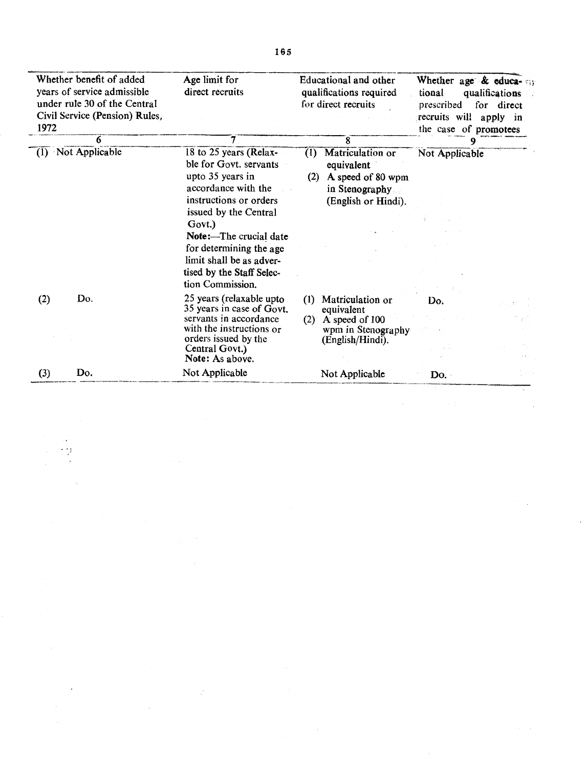| Whether benefit of added<br>years of service admissible<br>under rule 30 of the Central<br>Civil Service (Pension) Rules,<br>1972 |     | Age limit for<br>direct recruits                                                                                      | Educational and other<br>qualifications required<br>for direct recruits                                    | Whether age & educa-<br>tional<br>qualifications<br>prescribed<br>for direct<br>recruits will<br>apply in<br>the case of promotees |  |
|-----------------------------------------------------------------------------------------------------------------------------------|-----|-----------------------------------------------------------------------------------------------------------------------|------------------------------------------------------------------------------------------------------------|------------------------------------------------------------------------------------------------------------------------------------|--|
|                                                                                                                                   | 6   | 7                                                                                                                     | 8                                                                                                          |                                                                                                                                    |  |
| $(1)$ Not Applicable                                                                                                              |     | 18 to 25 years (Relax-<br>ble for Govt. servants<br>upto 35 years in<br>accordance with the<br>instructions or orders | Matriculation or<br>(1)<br>equivalent<br>A speed of 80 wpm<br>(2)<br>in Stenography<br>(English or Hindi). | Not Applicable                                                                                                                     |  |
|                                                                                                                                   |     | issued by the Central                                                                                                 |                                                                                                            |                                                                                                                                    |  |
|                                                                                                                                   |     | Govt.)<br>Note:—The crucial date                                                                                      |                                                                                                            |                                                                                                                                    |  |
|                                                                                                                                   |     | for determining the age                                                                                               |                                                                                                            |                                                                                                                                    |  |
|                                                                                                                                   |     | limit shall be as adver-                                                                                              |                                                                                                            |                                                                                                                                    |  |
|                                                                                                                                   |     | tised by the Staff Selec-                                                                                             |                                                                                                            |                                                                                                                                    |  |
|                                                                                                                                   |     | tion Commission.                                                                                                      |                                                                                                            |                                                                                                                                    |  |
| (2)                                                                                                                               | Do. | 25 years (relaxable upto<br>35 years in case of Govt.                                                                 | Matriculation or<br>(I)                                                                                    | Do.                                                                                                                                |  |
|                                                                                                                                   |     | servants in accordance<br>with the instructions or                                                                    | equivalent<br>A speed of 100<br>(2)                                                                        |                                                                                                                                    |  |
|                                                                                                                                   |     |                                                                                                                       | wpm in Stenography                                                                                         |                                                                                                                                    |  |
|                                                                                                                                   |     | orders issued by the<br>Central Govt.)                                                                                | (English/Hindi).                                                                                           |                                                                                                                                    |  |
|                                                                                                                                   |     | Note: As above.                                                                                                       |                                                                                                            |                                                                                                                                    |  |
| (3)                                                                                                                               | Do. | Not Applicable                                                                                                        | Not Applicable                                                                                             | Do.                                                                                                                                |  |

 $\mathbb{R}^2$ 

 $\bar{z}$ 

 $\hat{\boldsymbol{\beta}}$ 

 $\mathcal{L}$ 

i.

 $\frac{1}{2} \left( \frac{1}{2} \right)$ 

 $\ddot{\phantom{a}}$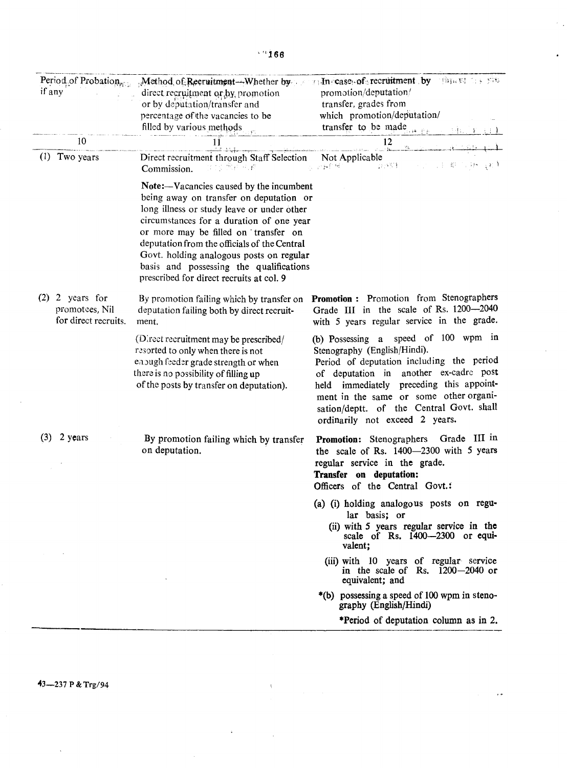| Period of Probation<br>if any                               | direct recruitment or by promotion<br>or by deputation/transfer and<br>percentage of the vacancies to be<br>filled by various methods                                                                                                                                                                                                                                                                   | Method of Reeruitment -- Whether by a security of recruitment by the situation of<br>promotion/deputation/<br>transfer, grades from<br>which promotion/deputation/<br>transfer to be made                                                                                                                                             |
|-------------------------------------------------------------|---------------------------------------------------------------------------------------------------------------------------------------------------------------------------------------------------------------------------------------------------------------------------------------------------------------------------------------------------------------------------------------------------------|---------------------------------------------------------------------------------------------------------------------------------------------------------------------------------------------------------------------------------------------------------------------------------------------------------------------------------------|
| 10                                                          | 11                                                                                                                                                                                                                                                                                                                                                                                                      | 12<br>دند. گستگاه ب                                                                                                                                                                                                                                                                                                                   |
| Two years<br>(1)                                            | Direct recruitment through Staff Selection<br>西孔巴西<br>Commission.                                                                                                                                                                                                                                                                                                                                       | Not Applicable<br>그리고 비싸<br>$\{1,1\}$ , $\{1,1\}$<br>合金合金                                                                                                                                                                                                                                                                             |
|                                                             | Note:—Vacancies caused by the incumbent<br>being away on transfer on deputation or<br>long illness or study leave or under other<br>circumstances for a duration of one year<br>or more may be filled on transfer on<br>deputation from the officials of the Central<br>Govt. holding analogous posts on regular<br>basis and possessing the qualifications<br>prescribed for direct recruits at col. 9 |                                                                                                                                                                                                                                                                                                                                       |
| $(2)$ 2 years for<br>promotees, Nil<br>for direct recruits. | By promotion failing which by transfer on<br>deputation failing both by direct recruit-<br>ment.                                                                                                                                                                                                                                                                                                        | Promotion : Promotion from Stenographers<br>Grade III in the scale of Rs. 1200-2040<br>with 5 years regular service in the grade.                                                                                                                                                                                                     |
|                                                             | (Direct recruitment may be prescribed/<br>resorted to only when there is not<br>enough feeder grade strength or when<br>there is no possibility of filling up<br>of the posts by transfer on deputation).                                                                                                                                                                                               | speed of 100 wpm in<br>(b) Possessing a<br>Stenography (English/Hindi).<br>Period of deputation including the period<br>another ex-cadre post<br>of deputation in<br>held immediately preceding this appoint-<br>ment in the same or some other organi-<br>sation/deptt. of the Central Govt. shall<br>ordinarily not exceed 2 years. |
| (3)<br>2 years                                              | By promotion failing which by transfer<br>on deputation.                                                                                                                                                                                                                                                                                                                                                | Promotion: Stenographers Grade III in<br>the scale of Rs. 1400-2300 with 5 years<br>regular service in the grade.<br>Transfer on deputation:<br>Officers of the Central Govt.                                                                                                                                                         |
|                                                             |                                                                                                                                                                                                                                                                                                                                                                                                         | (a) (i) holding analogous posts on regu-<br>lar basis; or<br>(ii) with 5 years regular service in the<br>scale of Rs. 1400-2300 or equi-<br>valent;                                                                                                                                                                                   |
|                                                             |                                                                                                                                                                                                                                                                                                                                                                                                         | (iii) with 10 years of regular service<br>in the scale of Rs. $1200 - 2040$ or<br>equivalent; and                                                                                                                                                                                                                                     |
|                                                             |                                                                                                                                                                                                                                                                                                                                                                                                         | *(b) possessing a speed of 100 wpm in steno-<br>graphy (English/Hindi)                                                                                                                                                                                                                                                                |
|                                                             |                                                                                                                                                                                                                                                                                                                                                                                                         | *Period of deputation column as in 2.                                                                                                                                                                                                                                                                                                 |

 $\ddot{\phantom{a}}$ 

,,